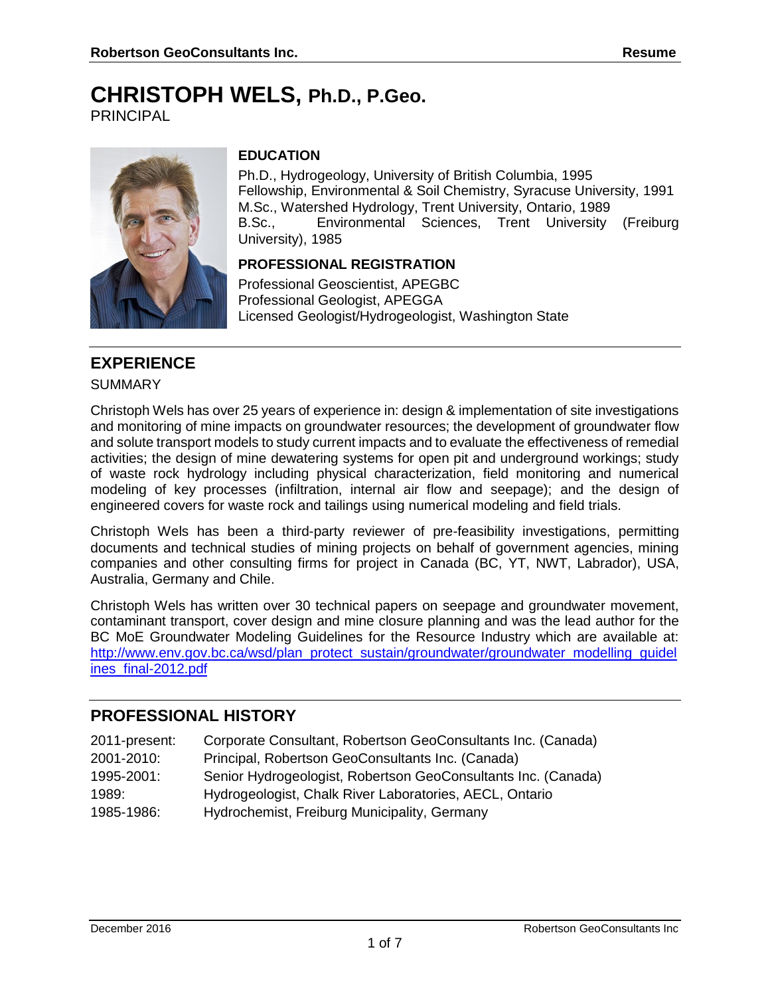# **CHRISTOPH WELS, Ph.D., P.Geo.**

PRINCIPAL



## **EDUCATION**

Ph.D., Hydrogeology, University of British Columbia, 1995 Fellowship, Environmental & Soil Chemistry, Syracuse University, 1991 M.Sc., Watershed Hydrology, Trent University, Ontario, 1989 B.Sc., Environmental Sciences, Trent University (Freiburg University), 1985

## **PROFESSIONAL REGISTRATION**

Professional Geoscientist, APEGBC Professional Geologist, APEGGA Licensed Geologist/Hydrogeologist, Washington State

# **EXPERIENCE**

#### **SUMMARY**

Christoph Wels has over 25 years of experience in: design & implementation of site investigations and monitoring of mine impacts on groundwater resources; the development of groundwater flow and solute transport models to study current impacts and to evaluate the effectiveness of remedial activities; the design of mine dewatering systems for open pit and underground workings; study of waste rock hydrology including physical characterization, field monitoring and numerical modeling of key processes (infiltration, internal air flow and seepage); and the design of engineered covers for waste rock and tailings using numerical modeling and field trials.

Christoph Wels has been a third-party reviewer of pre-feasibility investigations, permitting documents and technical studies of mining projects on behalf of government agencies, mining companies and other consulting firms for project in Canada (BC, YT, NWT, Labrador), USA, Australia, Germany and Chile.

Christoph Wels has written over 30 technical papers on seepage and groundwater movement, contaminant transport, cover design and mine closure planning and was the lead author for the BC MoE Groundwater Modeling Guidelines for the Resource Industry which are available at: [http://www.env.gov.bc.ca/wsd/plan\\_protect\\_sustain/groundwater/groundwater\\_modelling\\_guidel](http://www.env.gov.bc.ca/wsd/plan_protect_sustain/groundwater/groundwater_modelling_guidelines_final-2012.pdf) [ines\\_final-2012.pdf](http://www.env.gov.bc.ca/wsd/plan_protect_sustain/groundwater/groundwater_modelling_guidelines_final-2012.pdf)

# **PROFESSIONAL HISTORY**

| 2011-present: | Corporate Consultant, Robertson GeoConsultants Inc. (Canada)  |
|---------------|---------------------------------------------------------------|
| 2001-2010:    | Principal, Robertson GeoConsultants Inc. (Canada)             |
| 1995-2001:    | Senior Hydrogeologist, Robertson GeoConsultants Inc. (Canada) |
| 1989:         | Hydrogeologist, Chalk River Laboratories, AECL, Ontario       |
| 1985-1986:    | Hydrochemist, Freiburg Municipality, Germany                  |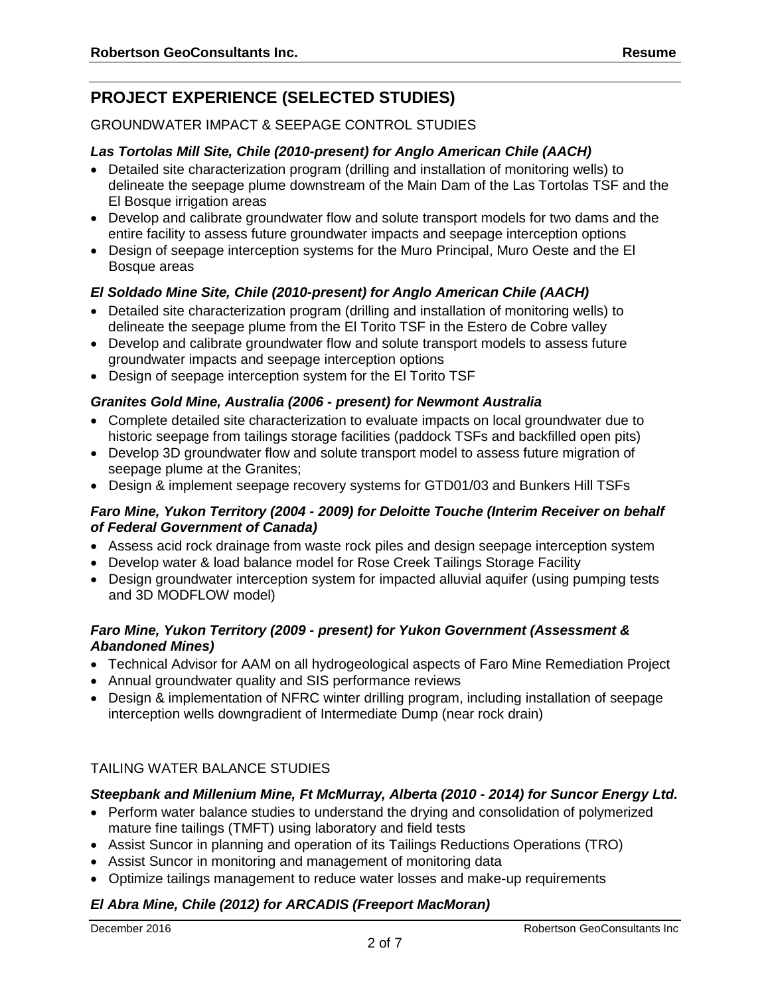# **PROJECT EXPERIENCE (SELECTED STUDIES)**

#### GROUNDWATER IMPACT & SEEPAGE CONTROL STUDIES

#### *Las Tortolas Mill Site, Chile (2010-present) for Anglo American Chile (AACH)*

- Detailed site characterization program (drilling and installation of monitoring wells) to delineate the seepage plume downstream of the Main Dam of the Las Tortolas TSF and the El Bosque irrigation areas
- Develop and calibrate groundwater flow and solute transport models for two dams and the entire facility to assess future groundwater impacts and seepage interception options
- Design of seepage interception systems for the Muro Principal, Muro Oeste and the El Bosque areas

#### *El Soldado Mine Site, Chile (2010-present) for Anglo American Chile (AACH)*

- Detailed site characterization program (drilling and installation of monitoring wells) to delineate the seepage plume from the El Torito TSF in the Estero de Cobre valley
- Develop and calibrate groundwater flow and solute transport models to assess future groundwater impacts and seepage interception options
- Design of seepage interception system for the El Torito TSF

#### *Granites Gold Mine, Australia (2006 - present) for Newmont Australia*

- Complete detailed site characterization to evaluate impacts on local groundwater due to historic seepage from tailings storage facilities (paddock TSFs and backfilled open pits)
- Develop 3D groundwater flow and solute transport model to assess future migration of seepage plume at the Granites;
- Design & implement seepage recovery systems for GTD01/03 and Bunkers Hill TSFs

#### *Faro Mine, Yukon Territory (2004 - 2009) for Deloitte Touche (Interim Receiver on behalf of Federal Government of Canada)*

- Assess acid rock drainage from waste rock piles and design seepage interception system
- Develop water & load balance model for Rose Creek Tailings Storage Facility
- Design groundwater interception system for impacted alluvial aquifer (using pumping tests and 3D MODFLOW model)

#### *Faro Mine, Yukon Territory (2009 - present) for Yukon Government (Assessment & Abandoned Mines)*

- Technical Advisor for AAM on all hydrogeological aspects of Faro Mine Remediation Project
- Annual groundwater quality and SIS performance reviews
- Design & implementation of NFRC winter drilling program, including installation of seepage interception wells downgradient of Intermediate Dump (near rock drain)

## TAILING WATER BALANCE STUDIES

#### *Steepbank and Millenium Mine, Ft McMurray, Alberta (2010 - 2014) for Suncor Energy Ltd.*

- Perform water balance studies to understand the drying and consolidation of polymerized mature fine tailings (TMFT) using laboratory and field tests
- Assist Suncor in planning and operation of its Tailings Reductions Operations (TRO)
- Assist Suncor in monitoring and management of monitoring data
- Optimize tailings management to reduce water losses and make-up requirements

#### *El Abra Mine, Chile (2012) for ARCADIS (Freeport MacMoran)*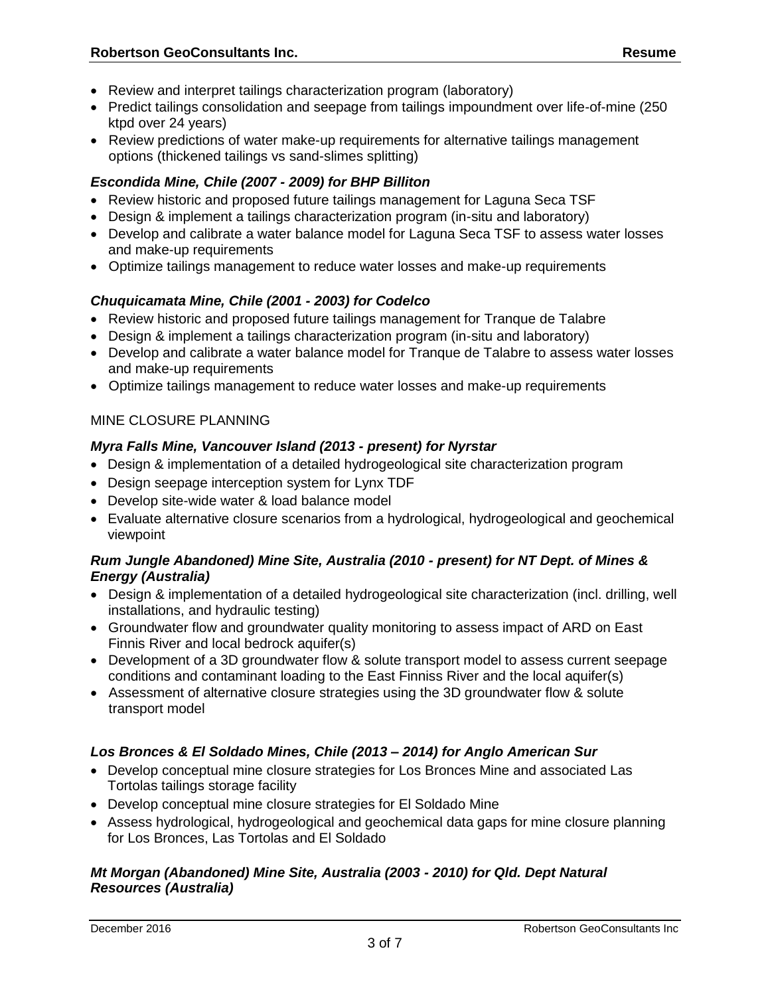- Review and interpret tailings characterization program (laboratory)
- Predict tailings consolidation and seepage from tailings impoundment over life-of-mine (250 ktpd over 24 years)
- Review predictions of water make-up requirements for alternative tailings management options (thickened tailings vs sand-slimes splitting)

## *Escondida Mine, Chile (2007 - 2009) for BHP Billiton*

- Review historic and proposed future tailings management for Laguna Seca TSF
- Design & implement a tailings characterization program (in-situ and laboratory)
- Develop and calibrate a water balance model for Laguna Seca TSF to assess water losses and make-up requirements
- Optimize tailings management to reduce water losses and make-up requirements

## *Chuquicamata Mine, Chile (2001 - 2003) for Codelco*

- Review historic and proposed future tailings management for Tranque de Talabre
- Design & implement a tailings characterization program (in-situ and laboratory)
- Develop and calibrate a water balance model for Tranque de Talabre to assess water losses and make-up requirements
- Optimize tailings management to reduce water losses and make-up requirements

## MINE CLOSURE PLANNING

## *Myra Falls Mine, Vancouver Island (2013 - present) for Nyrstar*

- Design & implementation of a detailed hydrogeological site characterization program
- Design seepage interception system for Lynx TDF
- Develop site-wide water & load balance model
- Evaluate alternative closure scenarios from a hydrological, hydrogeological and geochemical viewpoint

## *Rum Jungle Abandoned) Mine Site, Australia (2010 - present) for NT Dept. of Mines & Energy (Australia)*

- Design & implementation of a detailed hydrogeological site characterization (incl. drilling, well installations, and hydraulic testing)
- Groundwater flow and groundwater quality monitoring to assess impact of ARD on East Finnis River and local bedrock aquifer(s)
- Development of a 3D groundwater flow & solute transport model to assess current seepage conditions and contaminant loading to the East Finniss River and the local aquifer(s)
- Assessment of alternative closure strategies using the 3D groundwater flow & solute transport model

## *Los Bronces & El Soldado Mines, Chile (2013 – 2014) for Anglo American Sur*

- Develop conceptual mine closure strategies for Los Bronces Mine and associated Las Tortolas tailings storage facility
- Develop conceptual mine closure strategies for El Soldado Mine
- Assess hydrological, hydrogeological and geochemical data gaps for mine closure planning for Los Bronces, Las Tortolas and El Soldado

## *Mt Morgan (Abandoned) Mine Site, Australia (2003 - 2010) for Qld. Dept Natural Resources (Australia)*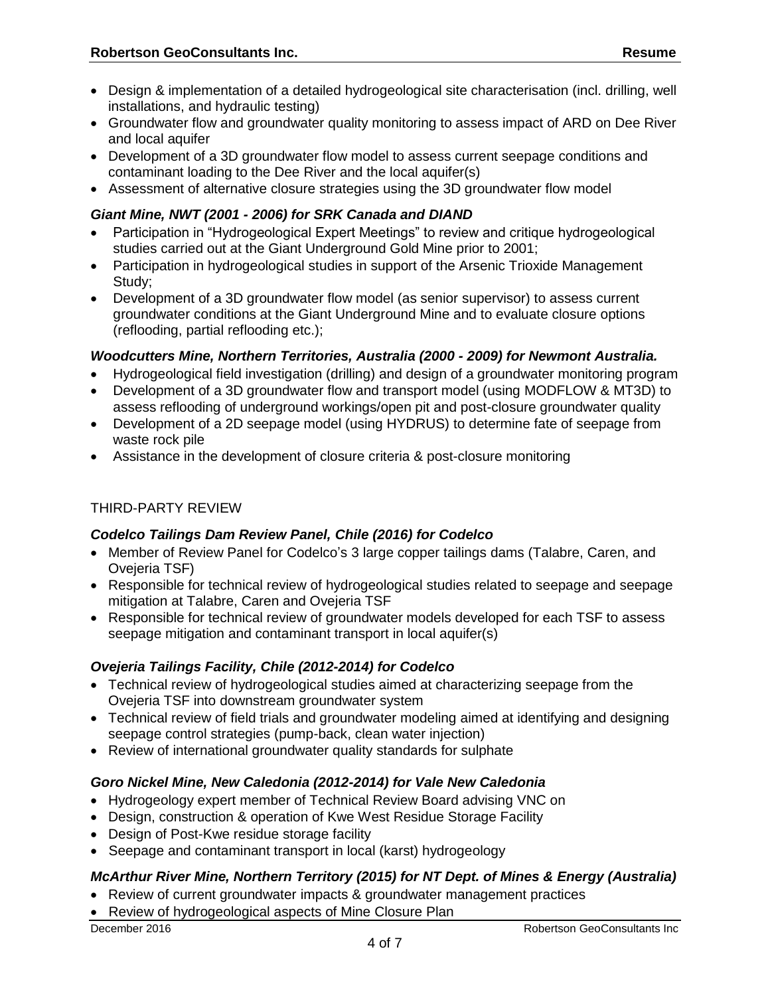- Design & implementation of a detailed hydrogeological site characterisation (incl. drilling, well installations, and hydraulic testing)
- Groundwater flow and groundwater quality monitoring to assess impact of ARD on Dee River and local aquifer
- Development of a 3D groundwater flow model to assess current seepage conditions and contaminant loading to the Dee River and the local aquifer(s)
- Assessment of alternative closure strategies using the 3D groundwater flow model

## *Giant Mine, NWT (2001 - 2006) for SRK Canada and DIAND*

- Participation in "Hydrogeological Expert Meetings" to review and critique hydrogeological studies carried out at the Giant Underground Gold Mine prior to 2001;
- Participation in hydrogeological studies in support of the Arsenic Trioxide Management Study;
- Development of a 3D groundwater flow model (as senior supervisor) to assess current groundwater conditions at the Giant Underground Mine and to evaluate closure options (reflooding, partial reflooding etc.);

## *Woodcutters Mine, Northern Territories, Australia (2000 - 2009) for Newmont Australia.*

- Hydrogeological field investigation (drilling) and design of a groundwater monitoring program
- Development of a 3D groundwater flow and transport model (using MODFLOW & MT3D) to assess reflooding of underground workings/open pit and post-closure groundwater quality
- Development of a 2D seepage model (using HYDRUS) to determine fate of seepage from waste rock pile
- Assistance in the development of closure criteria & post-closure monitoring

## THIRD-PARTY REVIEW

## *Codelco Tailings Dam Review Panel, Chile (2016) for Codelco*

- Member of Review Panel for Codelco's 3 large copper tailings dams (Talabre, Caren, and Ovejeria TSF)
- Responsible for technical review of hydrogeological studies related to seepage and seepage mitigation at Talabre, Caren and Ovejeria TSF
- Responsible for technical review of groundwater models developed for each TSF to assess seepage mitigation and contaminant transport in local aquifer(s)

## *Ovejeria Tailings Facility, Chile (2012-2014) for Codelco*

- Technical review of hydrogeological studies aimed at characterizing seepage from the Ovejeria TSF into downstream groundwater system
- Technical review of field trials and groundwater modeling aimed at identifying and designing seepage control strategies (pump-back, clean water injection)
- Review of international groundwater quality standards for sulphate

## *Goro Nickel Mine, New Caledonia (2012-2014) for Vale New Caledonia*

- Hydrogeology expert member of Technical Review Board advising VNC on
- Design, construction & operation of Kwe West Residue Storage Facility
- Design of Post-Kwe residue storage facility
- Seepage and contaminant transport in local (karst) hydrogeology

## *McArthur River Mine, Northern Territory (2015) for NT Dept. of Mines & Energy (Australia)*

- Review of current groundwater impacts & groundwater management practices
- Review of hydrogeological aspects of Mine Closure Plan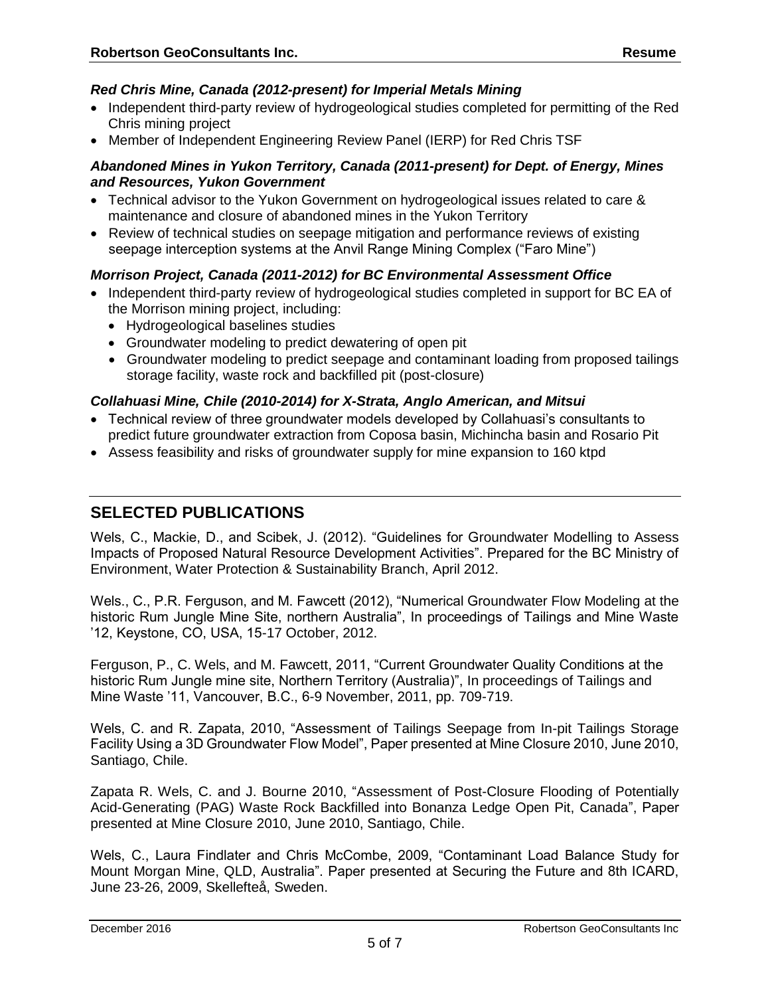## *Red Chris Mine, Canada (2012-present) for Imperial Metals Mining*

- Independent third-party review of hydrogeological studies completed for permitting of the Red Chris mining project
- Member of Independent Engineering Review Panel (IERP) for Red Chris TSF

#### *Abandoned Mines in Yukon Territory, Canada (2011-present) for Dept. of Energy, Mines and Resources, Yukon Government*

- Technical advisor to the Yukon Government on hydrogeological issues related to care & maintenance and closure of abandoned mines in the Yukon Territory
- Review of technical studies on seepage mitigation and performance reviews of existing seepage interception systems at the Anvil Range Mining Complex ("Faro Mine")

## *Morrison Project, Canada (2011-2012) for BC Environmental Assessment Office*

- Independent third-party review of hydrogeological studies completed in support for BC EA of the Morrison mining project, including:
	- Hydrogeological baselines studies
	- Groundwater modeling to predict dewatering of open pit
	- Groundwater modeling to predict seepage and contaminant loading from proposed tailings storage facility, waste rock and backfilled pit (post-closure)

## *Collahuasi Mine, Chile (2010-2014) for X-Strata, Anglo American, and Mitsui*

- Technical review of three groundwater models developed by Collahuasi's consultants to predict future groundwater extraction from Coposa basin, Michincha basin and Rosario Pit
- Assess feasibility and risks of groundwater supply for mine expansion to 160 ktpd

# **SELECTED PUBLICATIONS**

Wels, C., Mackie, D., and Scibek, J. (2012). "Guidelines for Groundwater Modelling to Assess Impacts of Proposed Natural Resource Development Activities". Prepared for the BC Ministry of Environment, Water Protection & Sustainability Branch, April 2012.

Wels., C., P.R. Ferguson, and M. Fawcett (2012), "Numerical Groundwater Flow Modeling at the historic Rum Jungle Mine Site, northern Australia", In proceedings of Tailings and Mine Waste '12, Keystone, CO, USA, 15-17 October, 2012.

Ferguson, P., C. Wels, and M. Fawcett, 2011, "Current Groundwater Quality Conditions at the historic Rum Jungle mine site, Northern Territory (Australia)", In proceedings of Tailings and Mine Waste '11, Vancouver, B.C., 6-9 November, 2011, pp. 709-719.

Wels, C. and R. Zapata, 2010, "Assessment of Tailings Seepage from In-pit Tailings Storage Facility Using a 3D Groundwater Flow Model", Paper presented at Mine Closure 2010, June 2010, Santiago, Chile.

Zapata R. Wels, C. and J. Bourne 2010, "Assessment of Post-Closure Flooding of Potentially Acid-Generating (PAG) Waste Rock Backfilled into Bonanza Ledge Open Pit, Canada", Paper presented at Mine Closure 2010, June 2010, Santiago, Chile.

Wels, C., Laura Findlater and Chris McCombe, 2009, "Contaminant Load Balance Study for Mount Morgan Mine, QLD, Australia". Paper presented at Securing the Future and 8th ICARD, June 23-26, 2009, Skellefteå, Sweden.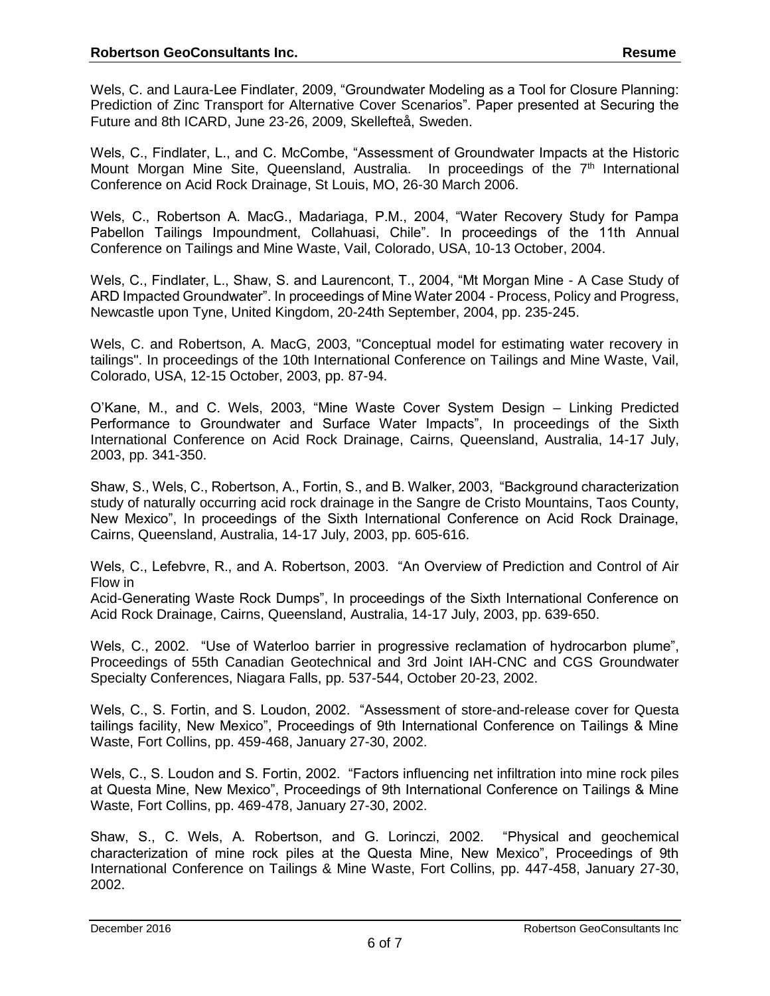Wels, C. and Laura-Lee Findlater, 2009, "Groundwater Modeling as a Tool for Closure Planning: Prediction of Zinc Transport for Alternative Cover Scenarios". Paper presented at Securing the Future and 8th ICARD, June 23-26, 2009, Skellefteå, Sweden.

Wels, C., Findlater, L., and C. McCombe, "Assessment of Groundwater Impacts at the Historic Mount Morgan Mine Site. Queensland, Australia. In proceedings of the  $7<sup>th</sup>$  International Conference on Acid Rock Drainage, St Louis, MO, 26-30 March 2006.

Wels, C., Robertson A. MacG., Madariaga, P.M., 2004, "Water Recovery Study for Pampa Pabellon Tailings Impoundment, Collahuasi, Chile". In proceedings of the 11th Annual Conference on Tailings and Mine Waste, Vail, Colorado, USA, 10-13 October, 2004.

Wels, C., Findlater, L., Shaw, S. and Laurencont, T., 2004, "Mt Morgan Mine - A Case Study of ARD Impacted Groundwater". In proceedings of Mine Water 2004 - Process, Policy and Progress, Newcastle upon Tyne, United Kingdom, 20-24th September, 2004, pp. 235-245.

Wels, C. and Robertson, A. MacG, 2003, "Conceptual model for estimating water recovery in tailings". In proceedings of the 10th International Conference on Tailings and Mine Waste, Vail, Colorado, USA, 12-15 October, 2003, pp. 87-94.

O'Kane, M., and C. Wels, 2003, "Mine Waste Cover System Design – Linking Predicted Performance to Groundwater and Surface Water Impacts", In proceedings of the Sixth International Conference on Acid Rock Drainage, Cairns, Queensland, Australia, 14-17 July, 2003, pp. 341-350.

Shaw, S., Wels, C., Robertson, A., Fortin, S., and B. Walker, 2003, "Background characterization study of naturally occurring acid rock drainage in the Sangre de Cristo Mountains, Taos County, New Mexico", In proceedings of the Sixth International Conference on Acid Rock Drainage, Cairns, Queensland, Australia, 14-17 July, 2003, pp. 605-616.

Wels, C., Lefebvre, R., and A. Robertson, 2003. "An Overview of Prediction and Control of Air Flow in

Acid-Generating Waste Rock Dumps", In proceedings of the Sixth International Conference on Acid Rock Drainage, Cairns, Queensland, Australia, 14-17 July, 2003, pp. 639-650.

Wels, C., 2002. "Use of Waterloo barrier in progressive reclamation of hydrocarbon plume", Proceedings of 55th Canadian Geotechnical and 3rd Joint IAH-CNC and CGS Groundwater Specialty Conferences, Niagara Falls, pp. 537-544, October 20-23, 2002.

Wels, C., S. Fortin, and S. Loudon, 2002. "Assessment of store-and-release cover for Questa tailings facility, New Mexico", Proceedings of 9th International Conference on Tailings & Mine Waste, Fort Collins, pp. 459-468, January 27-30, 2002.

Wels, C., S. Loudon and S. Fortin, 2002. "Factors influencing net infiltration into mine rock piles at Questa Mine, New Mexico", Proceedings of 9th International Conference on Tailings & Mine Waste, Fort Collins, pp. 469-478, January 27-30, 2002.

Shaw, S., C. Wels, A. Robertson, and G. Lorinczi, 2002. "Physical and geochemical characterization of mine rock piles at the Questa Mine, New Mexico", Proceedings of 9th International Conference on Tailings & Mine Waste, Fort Collins, pp. 447-458, January 27-30, 2002.